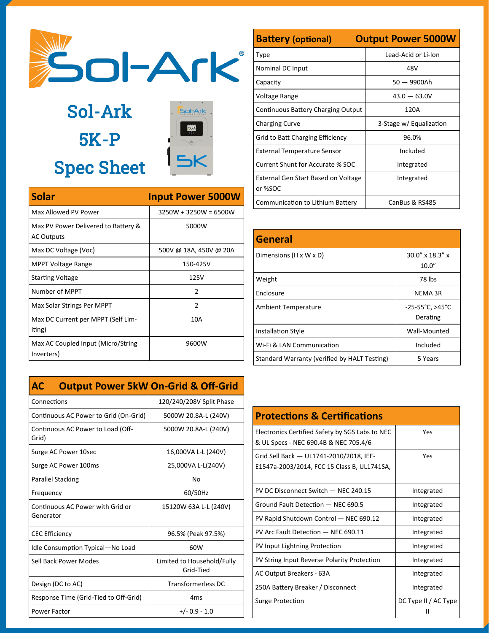

Sol-Ark 5K-P Spec Sheet



| <b>Solar</b>                                             | <b>Input Power 5000W</b> |
|----------------------------------------------------------|--------------------------|
| Max Allowed PV Power                                     | $3250W + 3250W = 6500W$  |
| Max PV Power Delivered to Battery &<br><b>AC Outputs</b> | 5000W                    |
| Max DC Voltage (Voc)                                     | 500V @ 18A, 450V @ 20A   |
| <b>MPPT Voltage Range</b>                                | 150-425V                 |
| <b>Starting Voltage</b>                                  | 125V                     |
| Number of MPPT                                           | $\mathcal{P}$            |
| Max Solar Strings Per MPPT                               | $\mathcal{P}$            |
| Max DC Current per MPPT (Self Lim-<br>iting)             | 10A                      |
| Max AC Coupled Input (Micro/String<br>Inverters)         | 9600W                    |

|  | <b>AC</b> Output Power 5kW On-Grid & Off-Grid |  |  |  |  |  |
|--|-----------------------------------------------|--|--|--|--|--|
|--|-----------------------------------------------|--|--|--|--|--|

| Connections                                   | 120/240/208V Split Phase                |
|-----------------------------------------------|-----------------------------------------|
| Continuous AC Power to Grid (On-Grid)         | 5000W 20.8A-L (240V)                    |
| Continuous AC Power to Load (Off-<br>Grid)    | 5000W 20.8A-L (240V)                    |
| Surge AC Power 10sec                          | 16,000VA L-L (240V)                     |
| Surge AC Power 100ms                          | 25,000VA L-L(240V)                      |
| <b>Parallel Stacking</b>                      | N٥                                      |
| Frequency                                     | 60/50Hz                                 |
| Continuous AC Power with Grid or<br>Generator | 15120W 63A L-L (240V)                   |
| <b>CEC Efficiency</b>                         | 96.5% (Peak 97.5%)                      |
| Idle Consumption Typical-No Load              | 60W                                     |
| Sell Back Power Modes                         | Limited to Household/Fully<br>Grid-Tied |
| Design (DC to AC)                             | Transformerless DC                      |
| Response Time (Grid-Tied to Off-Grid)         | 4 <sub>ms</sub>                         |
| Power Factor                                  | $+/- 0.9 - 1.0$                         |

| <b>Battery (optional)</b>                      | <b>Output Power 5000W</b> |
|------------------------------------------------|---------------------------|
| Type                                           | Lead-Acid or Li-Ion       |
| Nominal DC Input                               | 48V                       |
| Capacity                                       | $50 - 9900$ Ah            |
| Voltage Range                                  | $43.0 - 63.0V$            |
| Continuous Battery Charging Output             | 120A                      |
| <b>Charging Curve</b>                          | 3-Stage w/ Equalization   |
| Grid to Batt Charging Efficiency               | 96.0%                     |
| <b>External Temperature Sensor</b>             | Included                  |
| Current Shunt for Accurate % SOC               | Integrated                |
| External Gen Start Based on Voltage<br>or %SOC | Integrated                |
| Communication to Lithium Battery               | CanBus & RS485            |

| <b>General</b>                               |                                       |
|----------------------------------------------|---------------------------------------|
| Dimensions $(H \times W \times D)$           | 30.0" x 18.3" x<br>10.0"              |
| Weight                                       | 78 lbs                                |
| Enclosure                                    | <b>NEMA 3R</b>                        |
| <b>Ambient Temperature</b>                   | $-25-55^{\circ}$ C, >45°C<br>Derating |
| <b>Installation Style</b>                    | Wall-Mounted                          |
| Wi-Fi & LAN Communication                    | Included                              |
| Standard Warranty (verified by HALT Testing) | 5 Years                               |

| <b>Protections &amp; Certifications</b>                                                  |                      |
|------------------------------------------------------------------------------------------|----------------------|
| Electronics Certified Safety by SGS Labs to NEC<br>& UL Specs - NEC 690.4B & NEC 705.4/6 | Yes                  |
| Grid Sell Back - UL1741-2010/2018, IEE-<br>E1547a-2003/2014, FCC 15 Class B, UL1741SA,   | Yes                  |
| PV DC Disconnect Switch - NEC 240.15                                                     | Integrated           |
| Ground Fault Detection - NEC 690.5                                                       | Integrated           |
| PV Rapid Shutdown Control - NEC 690.12                                                   | Integrated           |
| PV Arc Fault Detection - NEC 690.11                                                      | Integrated           |
| PV Input Lightning Protection                                                            | Integrated           |
| PV String Input Reverse Polarity Protection                                              | Integrated           |
| AC Output Breakers - 63A                                                                 | Integrated           |
| 250A Battery Breaker / Disconnect                                                        | Integrated           |
| Surge Protection                                                                         | DC Type II / AC Type |